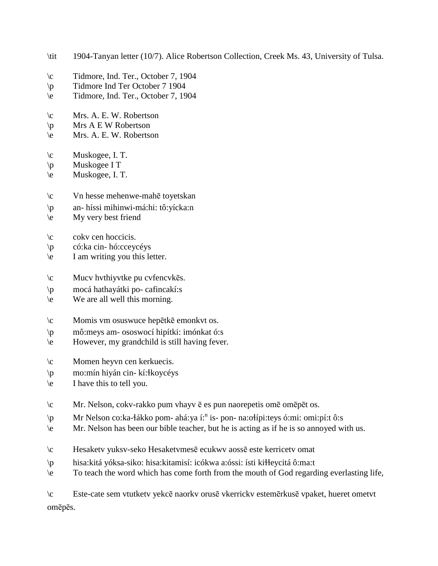- \tit 1904-Tanyan letter (10/7). Alice Robertson Collection, Creek Ms. 43, University of Tulsa.
- \c Tidmore, Ind. Ter., October 7, 1904
- \p Tidmore Ind Ter October 7 1904
- \e Tidmore, Ind. Ter., October 7, 1904
- \c Mrs. A. E. W. Robertson
- $\pi$  Mrs A E W Robertson
- \e Mrs. A. E. W. Robertson
- \c Muskogee, I. T.
- \p Muskogee I T
- \e Muskogee, I. T.
- \c Vn hesse mehenwe-mahē toyetskan
- \p an- híssi mihinwi-má:hi: tô:yícka:n
- \e My very best friend
- \c cokv cen hoccicis.
- \p có:ka cin- hó:cceycéys
- \e I am writing you this letter.
- \c Mucv hvthiyvtke pu cvfencvkēs.
- \p mocá hathayátki po- cafincakí:s
- \e We are all well this morning.
- \c Momis vm osuswuce hepētkē emonkvt os.
- \p mô:meys am- ososwocí hipítki: imónkat ó:s
- \e However, my grandchild is still having fever.
- \c Momen heyvn cen kerkuecis.
- \p mo:mín hiyán cin- kí:!koycéys
- \e I have this to tell you.
- \c Mr. Nelson, cokv-rakko pum vhayv ē es pun naorepetis omē omēpēt os.
- \p Mr Nelson co:ka-łákko pom- ahá:ya í:<sup>n</sup> is- pon- na:ołípi:teys ó:mi: omi:pí:t ô:s
- \e Mr. Nelson has been our bible teacher, but he is acting as if he is so annoyed with us.
- \c Hesaketv yuksv-seko Hesaketvmesē ecukwv aossē este kerricetv omat
- \p hisa:kitá yóksa-siko: hisa:kitamisí: icókwa a:óssi: ísti ki!!eycitá ô:ma:t
- \e To teach the word which has come forth from the mouth of God regarding everlasting life,

\c Este-cate sem vtutketv yekcē naorkv orusē vkerrickv estemērkusē vpaket, hueret ometvt omēpēs.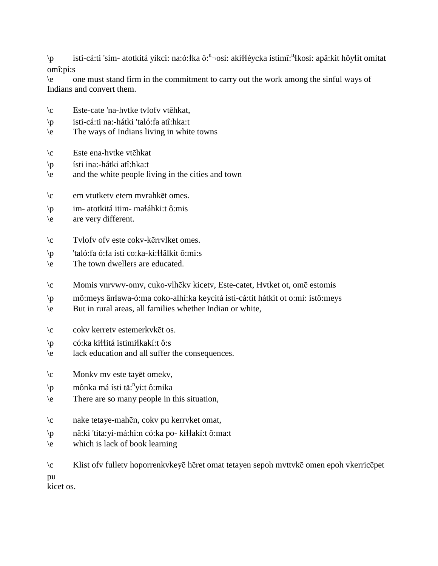\p isti-cá:ti 'sim- atotkitá yíkci: na:ó:łka ŏ:<sup>n</sup>¬osi: akiłłéycka istimĭ:<sup>n</sup>łkosi: apâ:kit hôyłit omítat omî:pi:s

\e one must stand firm in the commitment to carry out the work among the sinful ways of Indians and convert them.

- \c Este-cate 'na-hvtke tvlofv vtēhkat,
- \p isti-cá:ti na:-hátki 'taló:fa atî:hka:t
- \e The ways of Indians living in white towns
- \c Este ena-hvtke vtēhkat
- \p ísti ina:-hátki atî:hka:t
- \e and the white people living in the cities and town
- \c em vtutketv etem mvrahkēt omes.
- $\pi$  im- atotkitá itim- małáhki:t ô:mis
- \e are very different.
- \c Tvlofv ofv este cokv-kērrvlket omes.
- \p 'taló:fa ó:fa ísti co:ka-ki:!!âlkit ô:mi:s
- \e The town dwellers are educated.
- \c Momis vnrvwv-omv, cuko-vlhēkv kicetv, Este-catet, Hvtket ot, omē estomis
- \p mô:meys ân!awa-ó:ma coko-alhí:ka keycitá isti-cá:tit hátkit ot o:mí: istô:meys
- \e But in rural areas, all families whether Indian or white,
- \c cokv kerretv estemerkvkēt os.
- \p có:ka ki!!itá istimi!kakí:t ô:s
- \e lack education and all suffer the consequences.
- \c Monkv mv este tayēt omekv,
- \p mônka má ísti tă: n yi:t ô:mika
- \e There are so many people in this situation,
- \c nake tetaye-mahēn, cokv pu kerrvket omat,
- \p nâ:ki 'tita:yi-má:hi:n có:ka po- ki!!akí:t ô:ma:t
- \e which is lack of book learning

\c Klist ofv fulletv hoporrenkvkeyē hēret omat tetayen sepoh mvttvkē omen epoh vkerricēpet pu kicet os.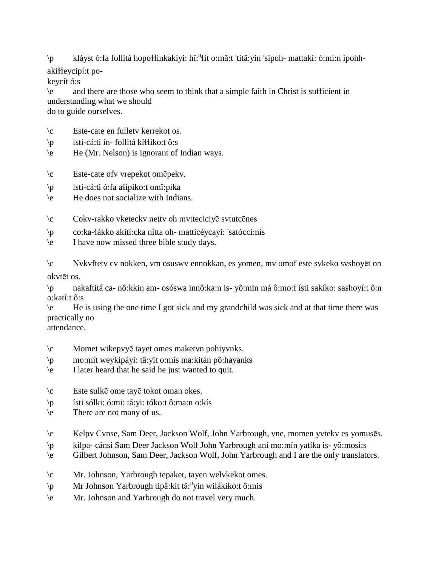\p kláyst ó:fa follitá hopołłinkakíyi: hĭ:"łit o:mâ:t 'titâ:yin 'sipoh- mattakí: ó:mi:n ipohh-

akiłłeycipí:t po-

keycít ó:s

\e and there are those who seem to think that a simple faith in Christ is sufficient in understanding what we should do to guide ourselves.

- \c Este-cate en fulletv kerrekot os.
- $\pi$  isti-cá:ti in- follitá kí $\frac{1}{10}$ iko:t ô:s
- \e He (Mr. Nelson) is ignorant of Indian ways.
- \c Este-cate ofv vrepekot omēpekv.
- \p isti-cá:ti ó:fa a!ípiko:t omî:pika
- \e He does not socialize with Indians.
- \c Cokv-rakko vketeckv nettv oh mvtteciciyē svtutcēnes
- \p co:ka-!ákko akití:cka nítta oh- matticéycayi: 'satócci:nís
- \e I have now missed three bible study days.

\c Nvkvftetv cv nokken, vm osuswv ennokkan, es yomen, mv omof este svkeko svshoyēt on okvtēt os.

\p nakaftitá ca- nô:kkin am- osóswa innô:ka:n is- yô:min má ô:mo:f ísti sakíko: sashoyí:t ô:n o:katí:t ô:s

\e He is using the one time I got sick and my grandchild was sick and at that time there was practically no

attendance.

- \c Momet wikepvyē tayet omes maketvn pohiyvnks.
- \p mo:mít weykipáyi: tâ:yit o:mís ma:kitán pô:hayanks
- \e I later heard that he said he just wanted to quit.
- \c Este sulkē ome tayē tokot oman okes.
- \p ísti sólki: ó:mi: tá:yi: tóko:t ô:ma:n o:kís
- \e There are not many of us.
- \c Kelpv Cvnse, Sam Deer, Jackson Wolf, John Yarbrough, vne, momen yvtekv es yomusēs.
- \p kilpa- cánsi Sam Deer Jackson Wolf John Yarbrough aní mo:mín yatíka is- yô:mosi:s
- \e Gilbert Johnson, Sam Deer, Jackson Wolf, John Yarbrough and I are the only translators.
- \c Mr. Johnson, Yarbrough tepaket, tayen welvkekot omes.
- \p Mr Johnson Yarbrough tipâ:kit tă: n yin wilákiko:t ô:mis
- \e Mr. Johnson and Yarbrough do not travel very much.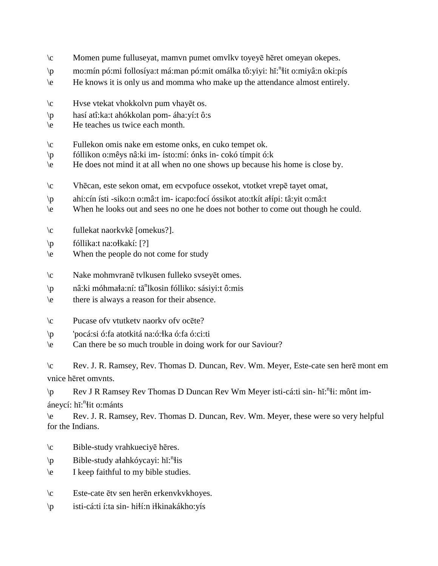- \c Momen pume fulluseyat, mamvn pumet omvlkv toyeyē hēret omeyan okepes.
- \p mo:mín pó:mi follosíya:t má:man pó:mit omálka tô:yiyi: hĭ: n !it o:miyâ:n oki:pís
- \e He knows it is only us and momma who make up the attendance almost entirely.
- \c Hvse vtekat vhokkolvn pum vhayēt os.
- \p hasí atî:ka:t ahókkolan pom- áha:yí:t ô:s
- \e He teaches us twice each month.
- \c Fullekon omis nake em estome onks, en cuko tempet ok.
- \p fóllikon o:mêys nâ:ki im- ísto:mí: ónks in- cokó tímpit ó:k
- \e He does not mind it at all when no one shows up because his home is close by.
- \c Vhēcan, este sekon omat, em ecvpofuce ossekot, vtotket vrepē tayet omat,
- \p ahi:cín ísti -siko:n o:mâ:t im- icapo:focí óssikot ato:tkít a!ípi: tâ:yit o:mâ:t
- \e When he looks out and sees no one he does not bother to come out though he could.
- \c fullekat naorkvkē [omekus?].
- $\pmb{\text{p}}$  fóllika:t na:o $\text{kakí:} [?]$
- \e When the people do not come for study
- \c Nake mohmvranē tvlkusen fulleko svseyēt omes.
- \p nâ:ki móhmała:ní: tă<sup>n</sup>lkosin fólliko: sásiyi:t ô:mis
- \e there is always a reason for their absence.
- \c Pucase ofv vtutketv naorkv ofv ocēte?
- \p 'pocá:si ó:fa atotkitá na:ó:!ka ó:fa ó:ci:ti
- \e Can there be so much trouble in doing work for our Saviour?

\c Rev. J. R. Ramsey, Rev. Thomas D. Duncan, Rev. Wm. Meyer, Este-cate sen herē mont em vnice hēret omvnts.

\p Rev J R Ramsey Rev Thomas D Duncan Rev Wm Meyer isti-cá:ti sin- hĭ:<sup>n</sup>i: mônt im-

áneycí: hĭ:<sup>n</sup>łit o:mánts

\e Rev. J. R. Ramsey, Rev. Thomas D. Duncan, Rev. Wm. Meyer, these were so very helpful for the Indians.

- \c Bible-study vrahkueciyē hēres.
- \p Bible-study ałahkóycayi: hĭ:<sup>n</sup>łis
- \e I keep faithful to my bible studies.
- \c Este-cate ētv sen herēn erkenvkvkhoyes.
- \p isti-cá:ti í:ta sin- hi!í:n i!kinakákho:yís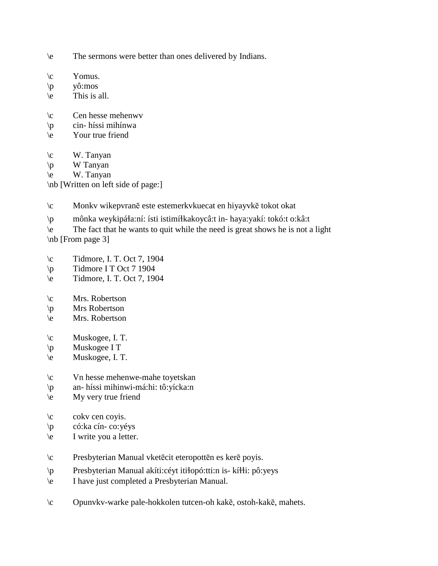- \e The sermons were better than ones delivered by Indians.
- $\operatorname{V}\nolimits$  Yomus.
- \p yô:mos
- $\le$  This is all.
- \c Cen hesse mehenwv
- \p cin- híssi mihínwa
- \e Your true friend
- $\c$  W. Tanyan
- $\pi$  W Tanyan
- \e W. Tanyan

\nb [Written on left side of page:]

- \c Monkv wikepvranē este estemerkvkuecat en hiyayvkē tokot okat
- \p mônka weykipá!a:ní: ísti istimí!kakoycâ:t in- haya:yakí: tokó:t o:kâ:t
- \e The fact that he wants to quit while the need is great shows he is not a light
- \nb [From page 3]
- $\c$  Tidmore, I. T. Oct 7, 1904
- $\pmb{\text{p}}$  Tidmore I T Oct 7 1904
- \e Tidmore, I. T. Oct 7, 1904
- \c Mrs. Robertson
- \p Mrs Robertson
- \e Mrs. Robertson
- \c Muskogee, I. T.
- $\overline{p}$  Muskogee I T
- \e Muskogee, I. T.
- \c Vn hesse mehenwe-mahe toyetskan
- \p an- híssi mihinwi-má:hi: tô:yícka:n
- \e My very true friend
- $\c$  cokv cen coyis.
- \p có:ka cín- co:yéys
- \e I write you a letter.
- \c Presbyterian Manual vketēcit eteropottēn es kerē poyis.
- \p Presbyterian Manual akíti:céyt itiłopó:tti:n is- kíłłi: pô:yeys
- \e I have just completed a Presbyterian Manual.
- \c Opunvkv-warke pale-hokkolen tutcen-oh kakē, ostoh-kakē, mahets.